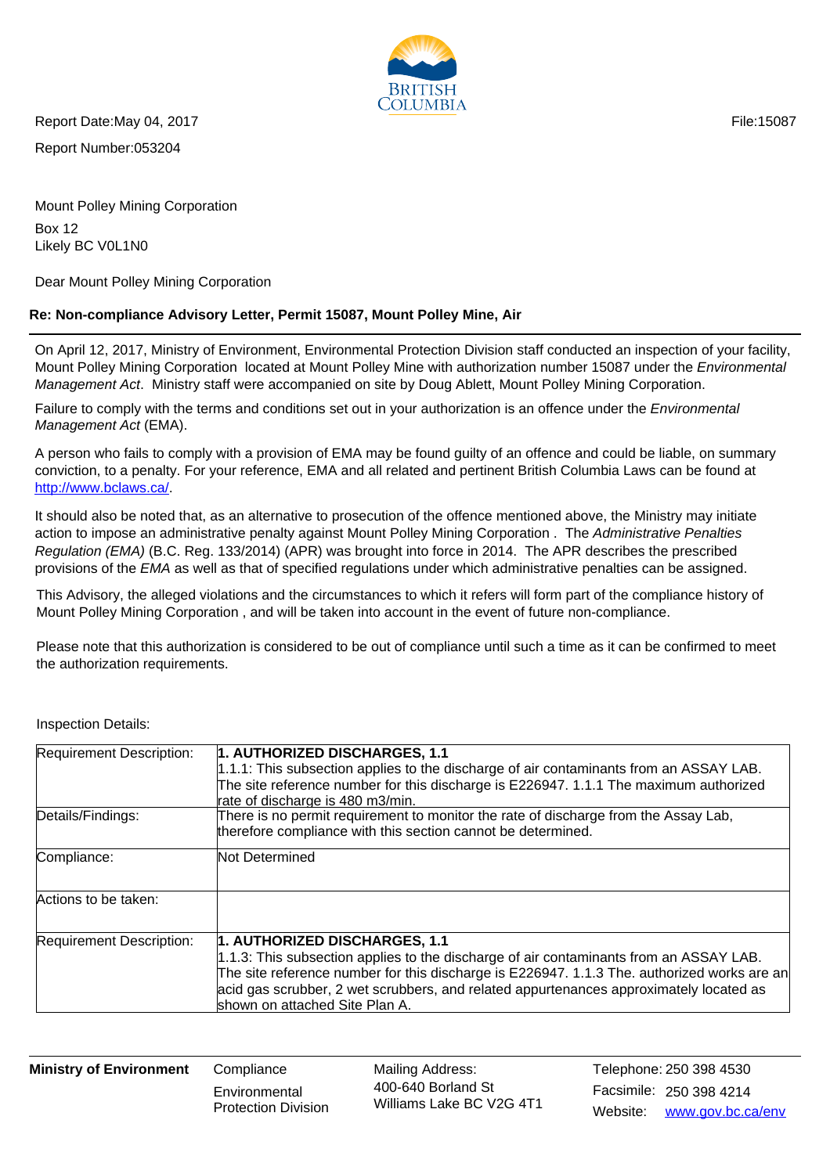

Report Number:053204 Report Date:May 04, 2017 **File:15087** File:15087

Mount Polley Mining Corporation Box 12 Likely BC V0L1N0

Dear Mount Polley Mining Corporation

## **Re: Non-compliance Advisory Letter, Permit 15087, Mount Polley Mine, Air**

On April 12, 2017, Ministry of Environment, Environmental Protection Division staff conducted an inspection of your facility, Mount Polley Mining Corporation located at Mount Polley Mine with authorization number 15087 under the *Environmental* Management Act. Ministry staff were accompanied on site by Doug Ablett, Mount Polley Mining Corporation.

Failure to comply with the terms and conditions set out in your authorization is an offence under the *Environmental* Management Act (EMA).

A person who fails to comply with a provision of EMA may be found guilty of an offence and could be liable, on summary conviction, to a penalty. For your reference, EMA and all related and pertinent British Columbia Laws can be found at http://www.bclaws.ca/.

It should also be noted that, as an alternative to prosecution of the offence mentioned above, the Ministry may initiate action to impose an administrative penalty against Mount Polley Mining Corporation . The Administrative Penalties Regulation (EMA) (B.C. Reg. 133/2014) (APR) was brought into force in 2014. The APR describes the prescribed provisions of the EMA as well as that of specified regulations under which administrative penalties can be assigned.

This Advisory, the alleged violations and the circumstances to which it refers will form part of the compliance history of Mount Polley Mining Corporation , and will be taken into account in the event of future non-compliance.

Please note that this authorization is considered to be out of compliance until such a time as it can be confirmed to meet the authorization requirements.

| Requirement Description: | 1. AUTHORIZED DISCHARGES, 1.1<br>$1.1.1$ : This subsection applies to the discharge of air contaminants from an ASSAY LAB.<br>The site reference number for this discharge is E226947. 1.1.1 The maximum authorized<br>rate of discharge is 480 m3/min.                                                                                            |
|--------------------------|----------------------------------------------------------------------------------------------------------------------------------------------------------------------------------------------------------------------------------------------------------------------------------------------------------------------------------------------------|
| Details/Findings:        | There is no permit requirement to monitor the rate of discharge from the Assay Lab,<br>therefore compliance with this section cannot be determined.                                                                                                                                                                                                |
| Compliance:              | Not Determined                                                                                                                                                                                                                                                                                                                                     |
| Actions to be taken:     |                                                                                                                                                                                                                                                                                                                                                    |
| Requirement Description: | 1. AUTHORIZED DISCHARGES, 1.1<br>1.1.3: This subsection applies to the discharge of air contaminants from an ASSAY LAB.<br>The site reference number for this discharge is E226947. 1.1.3 The. authorized works are an<br>acid gas scrubber, 2 wet scrubbers, and related appurtenances approximately located as<br>shown on attached Site Plan A. |

Inspection Details:

**Ministry of Environment** Compliance

**Environmental** Protection Division Mailing Address: Facsimile: 250 398 4214 400-640 Borland St Williams Lake BC V2G 4T1

Website: www.gov.bc.ca/env Telephone: 250 398 4530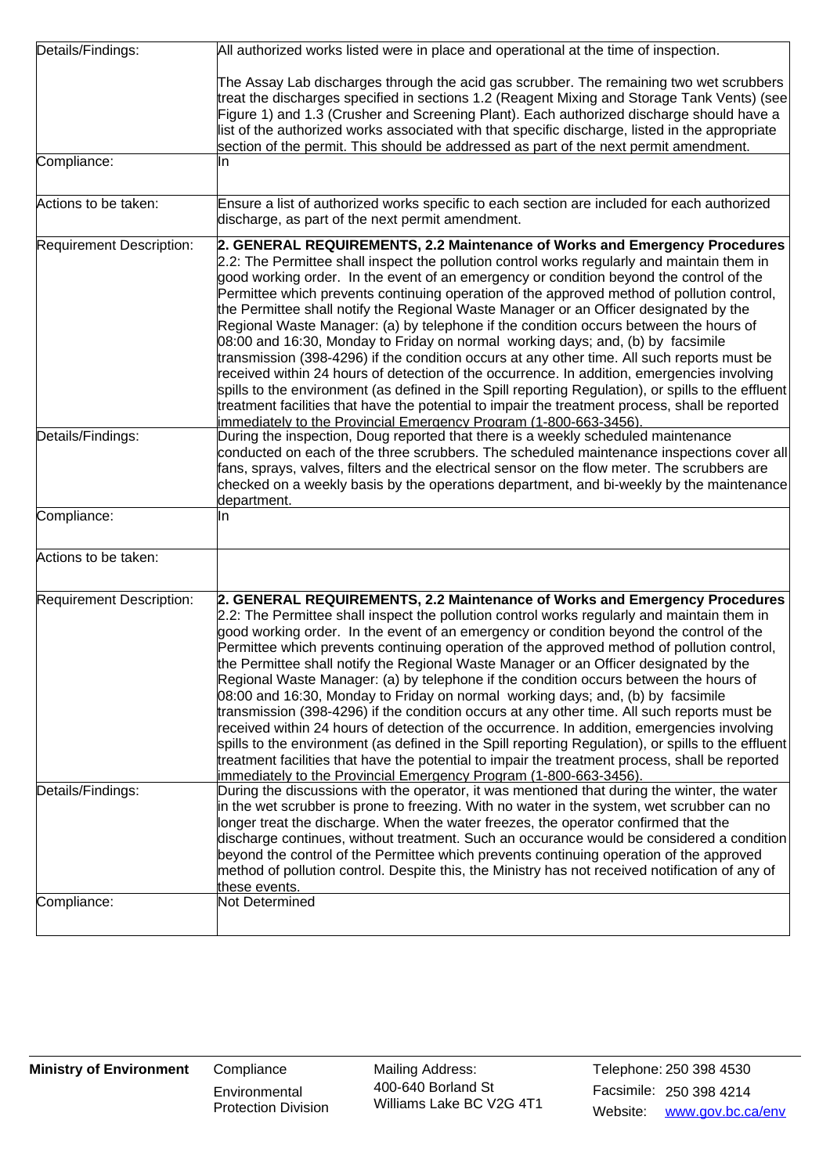| Details/Findings:        | All authorized works listed were in place and operational at the time of inspection.                                                                                                                                                                                                                                                                                                                                                                                                                                                                                                                                                                                                                                                                                                                                                                                                                                                                                                                                                                                                                                 |
|--------------------------|----------------------------------------------------------------------------------------------------------------------------------------------------------------------------------------------------------------------------------------------------------------------------------------------------------------------------------------------------------------------------------------------------------------------------------------------------------------------------------------------------------------------------------------------------------------------------------------------------------------------------------------------------------------------------------------------------------------------------------------------------------------------------------------------------------------------------------------------------------------------------------------------------------------------------------------------------------------------------------------------------------------------------------------------------------------------------------------------------------------------|
|                          | The Assay Lab discharges through the acid gas scrubber. The remaining two wet scrubbers<br>treat the discharges specified in sections 1.2 (Reagent Mixing and Storage Tank Vents) (see<br>Figure 1) and 1.3 (Crusher and Screening Plant). Each authorized discharge should have a<br>list of the authorized works associated with that specific discharge, listed in the appropriate<br>section of the permit. This should be addressed as part of the next permit amendment.                                                                                                                                                                                                                                                                                                                                                                                                                                                                                                                                                                                                                                       |
| Compliance:              | In                                                                                                                                                                                                                                                                                                                                                                                                                                                                                                                                                                                                                                                                                                                                                                                                                                                                                                                                                                                                                                                                                                                   |
| Actions to be taken:     | Ensure a list of authorized works specific to each section are included for each authorized<br>discharge, as part of the next permit amendment.                                                                                                                                                                                                                                                                                                                                                                                                                                                                                                                                                                                                                                                                                                                                                                                                                                                                                                                                                                      |
| Requirement Description: | 2. GENERAL REQUIREMENTS, 2.2 Maintenance of Works and Emergency Procedures<br>2.2: The Permittee shall inspect the pollution control works regularly and maintain them in<br>good working order. In the event of an emergency or condition beyond the control of the<br>Permittee which prevents continuing operation of the approved method of pollution control,<br>the Permittee shall notify the Regional Waste Manager or an Officer designated by the<br>Regional Waste Manager: (a) by telephone if the condition occurs between the hours of<br>08:00 and 16:30, Monday to Friday on normal working days; and, (b) by facsimile<br>transmission (398-4296) if the condition occurs at any other time. All such reports must be<br>received within 24 hours of detection of the occurrence. In addition, emergencies involving<br>spills to the environment (as defined in the Spill reporting Regulation), or spills to the effluent<br>treatment facilities that have the potential to impair the treatment process, shall be reported<br>immediately to the Provincial Emergency Program (1-800-663-3456). |
| Details/Findings:        | During the inspection, Doug reported that there is a weekly scheduled maintenance<br>conducted on each of the three scrubbers. The scheduled maintenance inspections cover all<br>fans, sprays, valves, filters and the electrical sensor on the flow meter. The scrubbers are<br>checked on a weekly basis by the operations department, and bi-weekly by the maintenance<br>department.                                                                                                                                                                                                                                                                                                                                                                                                                                                                                                                                                                                                                                                                                                                            |
| Compliance:              | In                                                                                                                                                                                                                                                                                                                                                                                                                                                                                                                                                                                                                                                                                                                                                                                                                                                                                                                                                                                                                                                                                                                   |
| Actions to be taken:     |                                                                                                                                                                                                                                                                                                                                                                                                                                                                                                                                                                                                                                                                                                                                                                                                                                                                                                                                                                                                                                                                                                                      |
| Requirement Description: | 2. GENERAL REQUIREMENTS, 2.2 Maintenance of Works and Emergency Procedures<br>2.2: The Permittee shall inspect the pollution control works regularly and maintain them in<br>good working order. In the event of an emergency or condition beyond the control of the<br>Permittee which prevents continuing operation of the approved method of pollution control,<br>the Permittee shall notify the Regional Waste Manager or an Officer designated by the<br>Regional Waste Manager: (a) by telephone if the condition occurs between the hours of<br>08:00 and 16:30, Monday to Friday on normal working days; and, (b) by facsimile<br>transmission (398-4296) if the condition occurs at any other time. All such reports must be<br>received within 24 hours of detection of the occurrence. In addition, emergencies involving<br>spills to the environment (as defined in the Spill reporting Regulation), or spills to the effluent<br>treatment facilities that have the potential to impair the treatment process, shall be reported<br>immediately to the Provincial Emergency Program (1-800-663-3456). |
| Details/Findings:        | During the discussions with the operator, it was mentioned that during the winter, the water<br>in the wet scrubber is prone to freezing. With no water in the system, wet scrubber can no<br>longer treat the discharge. When the water freezes, the operator confirmed that the<br>discharge continues, without treatment. Such an occurance would be considered a condition<br>beyond the control of the Permittee which prevents continuing operation of the approved<br>method of pollution control. Despite this, the Ministry has not received notification of any of<br>these events.                                                                                                                                                                                                                                                                                                                                                                                                                                                                                                                        |
| Compliance:              | Not Determined                                                                                                                                                                                                                                                                                                                                                                                                                                                                                                                                                                                                                                                                                                                                                                                                                                                                                                                                                                                                                                                                                                       |

**Environmental** Protection Division Mailing Address: Facsimile: 250 398 4214 400-640 Borland St Williams Lake BC V2G 4T1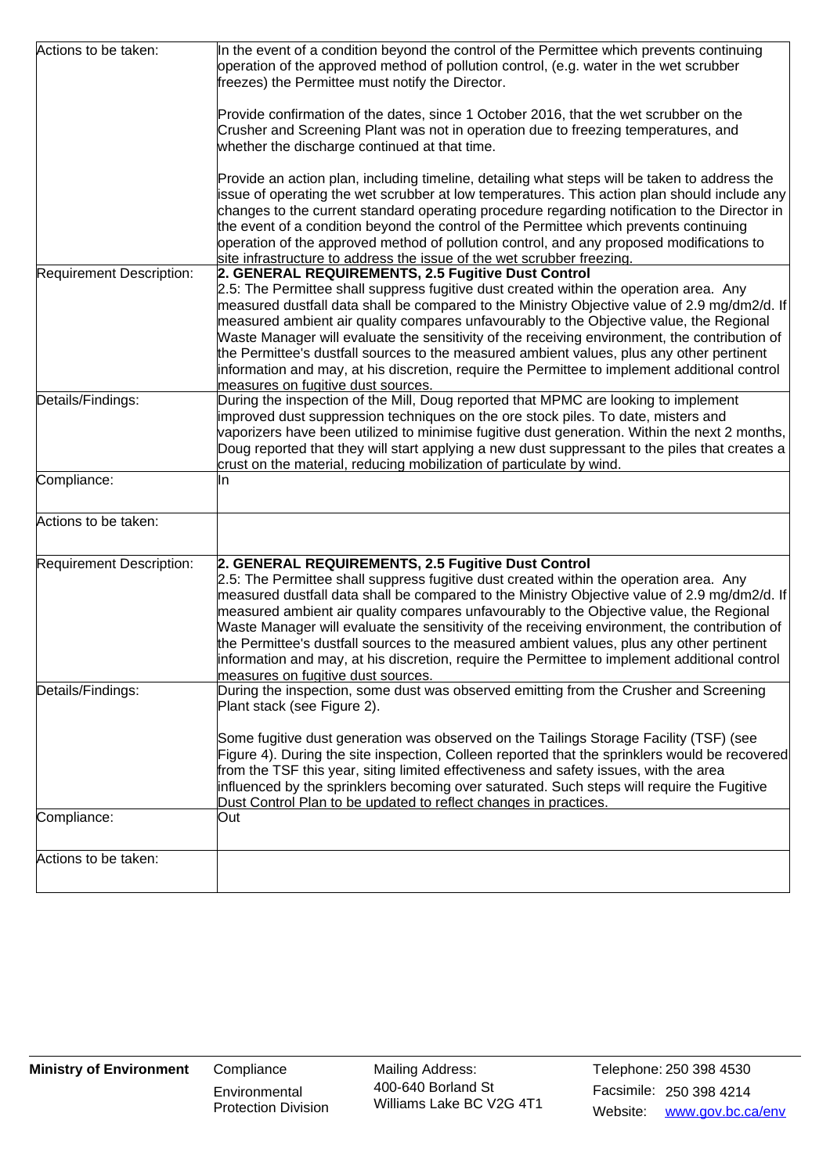| Actions to be taken:     | In the event of a condition beyond the control of the Permittee which prevents continuing<br>operation of the approved method of pollution control, (e.g. water in the wet scrubber<br>freezes) the Permittee must notify the Director.                                                                                                                                                                                                                                                                                                                                                                                                                                      |
|--------------------------|------------------------------------------------------------------------------------------------------------------------------------------------------------------------------------------------------------------------------------------------------------------------------------------------------------------------------------------------------------------------------------------------------------------------------------------------------------------------------------------------------------------------------------------------------------------------------------------------------------------------------------------------------------------------------|
|                          | Provide confirmation of the dates, since 1 October 2016, that the wet scrubber on the<br>Crusher and Screening Plant was not in operation due to freezing temperatures, and<br>whether the discharge continued at that time.                                                                                                                                                                                                                                                                                                                                                                                                                                                 |
|                          | Provide an action plan, including timeline, detailing what steps will be taken to address the<br>issue of operating the wet scrubber at low temperatures. This action plan should include any<br>changes to the current standard operating procedure regarding notification to the Director in<br>the event of a condition beyond the control of the Permittee which prevents continuing<br>operation of the approved method of pollution control, and any proposed modifications to<br>site infrastructure to address the issue of the wet scrubber freezing.                                                                                                               |
| Requirement Description: | 2. GENERAL REQUIREMENTS, 2.5 Fugitive Dust Control<br>2.5: The Permittee shall suppress fugitive dust created within the operation area. Any<br>measured dustfall data shall be compared to the Ministry Objective value of 2.9 mg/dm2/d. If<br>measured ambient air quality compares unfavourably to the Objective value, the Regional<br>Waste Manager will evaluate the sensitivity of the receiving environment, the contribution of<br>the Permittee's dustfall sources to the measured ambient values, plus any other pertinent<br>information and may, at his discretion, require the Permittee to implement additional control<br>measures on fugitive dust sources. |
| Details/Findings:        | During the inspection of the Mill, Doug reported that MPMC are looking to implement<br>improved dust suppression techniques on the ore stock piles. To date, misters and<br>vaporizers have been utilized to minimise fugitive dust generation. Within the next 2 months,<br>Doug reported that they will start applying a new dust suppressant to the piles that creates a<br>crust on the material, reducing mobilization of particulate by wind.                                                                                                                                                                                                                          |
| Compliance:              | In                                                                                                                                                                                                                                                                                                                                                                                                                                                                                                                                                                                                                                                                           |
| Actions to be taken:     |                                                                                                                                                                                                                                                                                                                                                                                                                                                                                                                                                                                                                                                                              |
| Requirement Description: | 2. GENERAL REQUIREMENTS, 2.5 Fugitive Dust Control<br>2.5: The Permittee shall suppress fugitive dust created within the operation area. Any<br>measured dustfall data shall be compared to the Ministry Objective value of 2.9 mg/dm2/d. If<br>measured ambient air quality compares unfavourably to the Objective value, the Regional<br>Waste Manager will evaluate the sensitivity of the receiving environment, the contribution of<br>the Permittee's dustfall sources to the measured ambient values, plus any other pertinent<br>information and may, at his discretion, require the Permittee to implement additional control<br>measures on fugitive dust sources. |
| Details/Findings:        | During the inspection, some dust was observed emitting from the Crusher and Screening<br>Plant stack (see Figure 2).<br>Some fugitive dust generation was observed on the Tailings Storage Facility (TSF) (see<br>Figure 4). During the site inspection, Colleen reported that the sprinklers would be recovered<br>from the TSF this year, siting limited effectiveness and safety issues, with the area                                                                                                                                                                                                                                                                    |
| Compliance:              | influenced by the sprinklers becoming over saturated. Such steps will require the Fugitive<br>Dust Control Plan to be updated to reflect changes in practices.<br>Out                                                                                                                                                                                                                                                                                                                                                                                                                                                                                                        |
|                          |                                                                                                                                                                                                                                                                                                                                                                                                                                                                                                                                                                                                                                                                              |
| Actions to be taken:     |                                                                                                                                                                                                                                                                                                                                                                                                                                                                                                                                                                                                                                                                              |

**Environmental** Protection Division Mailing Address: Facsimile: 250 398 4214 400-640 Borland St Williams Lake BC V2G 4T1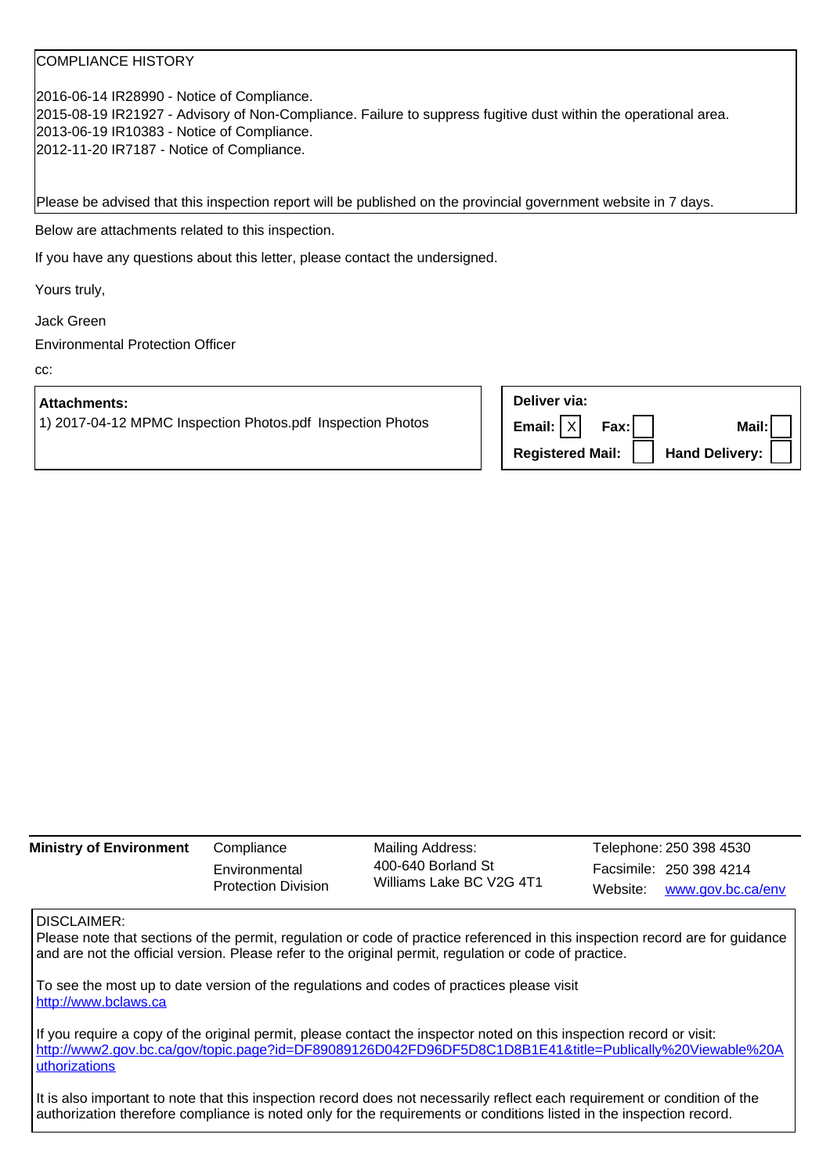### COMPLIANCE HISTORY

2016-06-14 IR28990 - Notice of Compliance. 2015-08-19 IR21927 - Advisory of Non-Compliance. Failure to suppress fugitive dust within the operational area. 2013-06-19 IR10383 - Notice of Compliance. 2012-11-20 IR7187 - Notice of Compliance.

Please be advised that this inspection report will be published on the provincial government website in 7 days.

Below are attachments related to this inspection.

If you have any questions about this letter, please contact the undersigned.

Yours truly,

Jack Green

Environmental Protection Officer

cc:

#### **Attachments:**

1) 2017-04-12 MPMC Inspection Photos.pdf Inspection Photos

| Deliver via:                        |       |
|-------------------------------------|-------|
| Email: $ X $ Fax:                   | Mail: |
| Registered Mail:     Hand Delivery: |       |

| <b>Ministry of Environment</b> | Compliance                                  | Mailing Address:                               | Telephone: 250 398 4530    |
|--------------------------------|---------------------------------------------|------------------------------------------------|----------------------------|
|                                | Environmental<br><b>Protection Division</b> | 400-640 Borland St<br>Williams Lake BC V2G 4T1 | Facsimile: 250 398 4214    |
|                                |                                             |                                                | Website: www.gov.bc.ca/env |

#### DISCLAIMER:

Please note that sections of the permit, regulation or code of practice referenced in this inspection record are for guidance and are not the official version. Please refer to the original permit, regulation or code of practice.

To see the most up to date version of the regulations and codes of practices please visit http://www.bclaws.ca

If you require a copy of the original permit, please contact the inspector noted on this inspection record or visit: http://www2.gov.bc.ca/gov/topic.page?id=DF89089126D042FD96DF5D8C1D8B1E41&title=Publically%20Viewable%20A uthorizations

It is also important to note that this inspection record does not necessarily reflect each requirement or condition of the authorization therefore compliance is noted only for the requirements or conditions listed in the inspection record.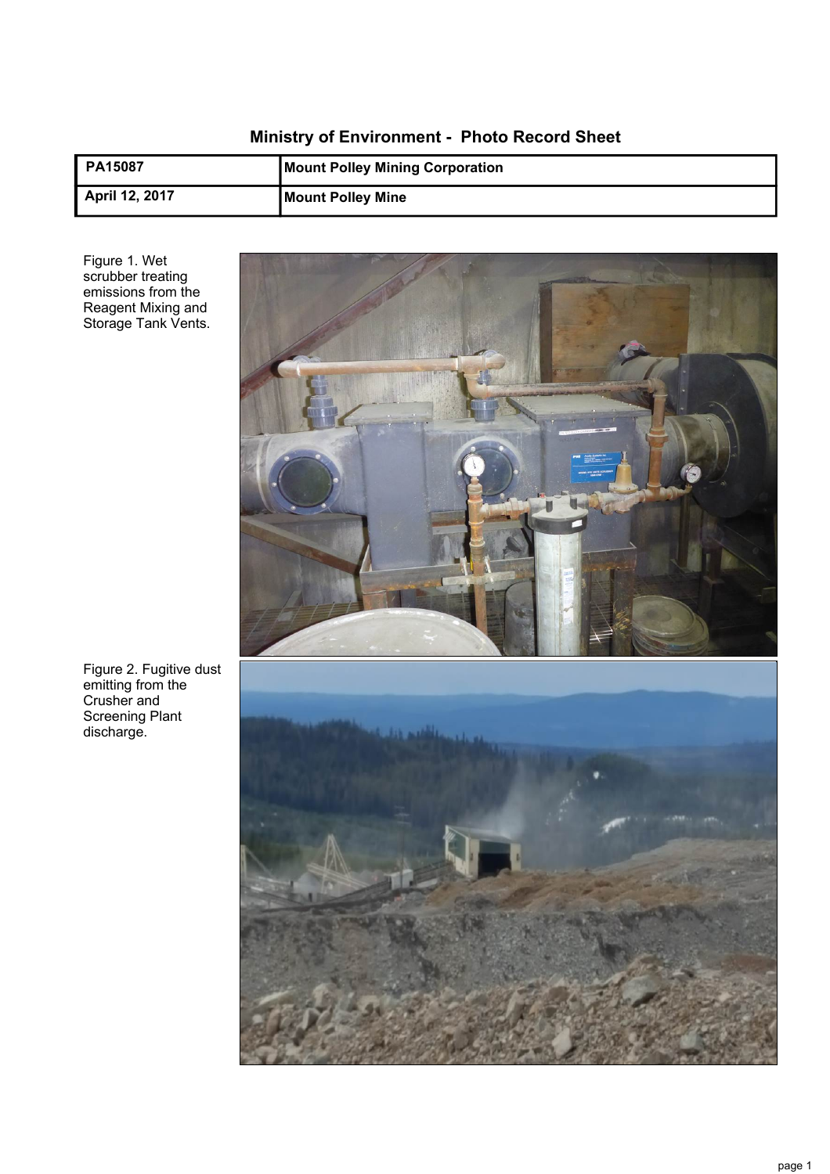# **Ministry of Environment - Photo Record Sheet**

| <b>PA15087</b>        | <b>Mount Polley Mining Corporation</b> |
|-----------------------|----------------------------------------|
| <b>April 12, 2017</b> | <b>Mount Polley Mine</b>               |

Figure 1. Wet scrubber treating emissions from the Reagent Mixing and Storage Tank Vents.



Figure 2. Fugitive dust emitting from the Crusher and Screening Plant discharge.

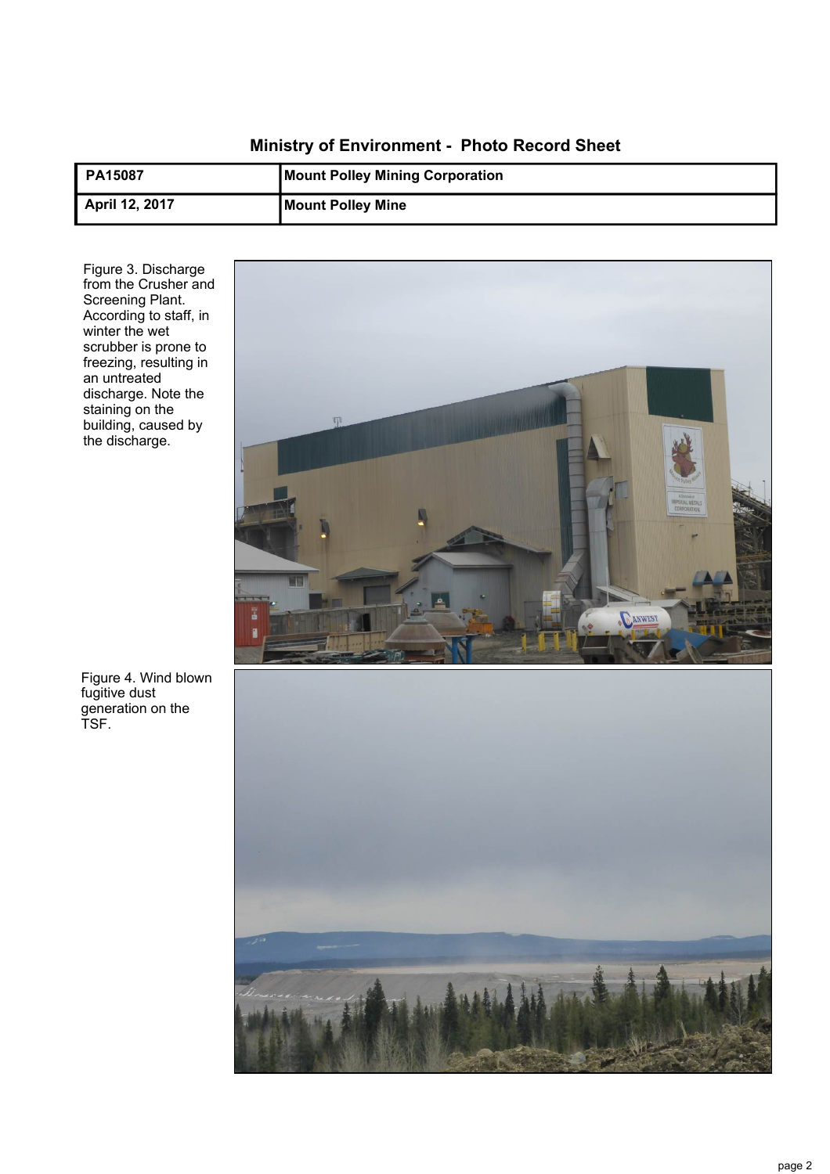# **Ministry of Environment - Photo Record Sheet**

| <b>PA15087</b> | <b>Mount Polley Mining Corporation</b> |
|----------------|----------------------------------------|
| April 12, 2017 | <b>Mount Polley Mine</b>               |

Figure 3. Discharge from the Crusher and Screening Plant. According to staff, in winter the wet scrubber is prone to freezing, resulting in an untreated discharge. Note the staining on the building, caused by the discharge.



Figure 4. Wind blown fugitive dust generation on the TSF.